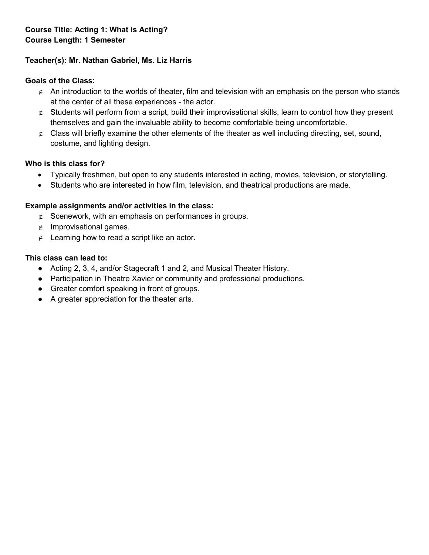# **Teacher(s): Mr. Nathan Gabriel, Ms. Liz Harris**

## **Goals of the Class:**

- $\epsilon$  An introduction to the worlds of theater, film and television with an emphasis on the person who stands at the center of all these experiences - the actor.
- ∉ Students will perform from a script, build their improvisational skills, learn to control how they present themselves and gain the invaluable ability to become comfortable being uncomfortable.
- ∉ Class will briefly examine the other elements of the theater as well including directing, set, sound, costume, and lighting design.

## **Who is this class for?**

- Typically freshmen, but open to any students interested in acting, movies, television, or storytelling.
- Students who are interested in how film, television, and theatrical productions are made.

## **Example assignments and/or activities in the class:**

- ∉ Scenework, with an emphasis on performances in groups.
- ∉ Improvisational games.
- ∉ Learning how to read a script like an actor.

- Acting 2, 3, 4, and/or Stagecraft 1 and 2, and Musical Theater History.
- Participation in Theatre Xavier or community and professional productions.
- Greater comfort speaking in front of groups.
- A greater appreciation for the theater arts.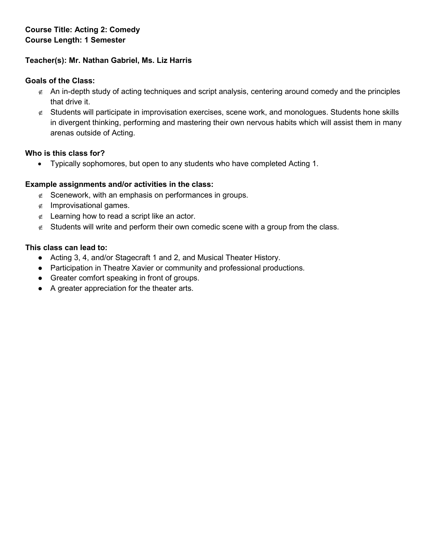# **Course Title: Acting 2: Comedy Course Length: 1 Semester**

## **Teacher(s): Mr. Nathan Gabriel, Ms. Liz Harris**

### **Goals of the Class:**

- ∉ An in-depth study of acting techniques and script analysis, centering around comedy and the principles that drive it.
- ∉ Students will participate in improvisation exercises, scene work, and monologues. Students hone skills in divergent thinking, performing and mastering their own nervous habits which will assist them in many arenas outside of Acting.

#### **Who is this class for?**

• Typically sophomores, but open to any students who have completed Acting 1.

#### **Example assignments and/or activities in the class:**

- ∉ Scenework, with an emphasis on performances in groups.
- ∉ Improvisational games.
- ∉ Learning how to read a script like an actor.
- ∉ Students will write and perform their own comedic scene with a group from the class.

- Acting 3, 4, and/or Stagecraft 1 and 2, and Musical Theater History.
- Participation in Theatre Xavier or community and professional productions.
- Greater comfort speaking in front of groups.
- A greater appreciation for the theater arts.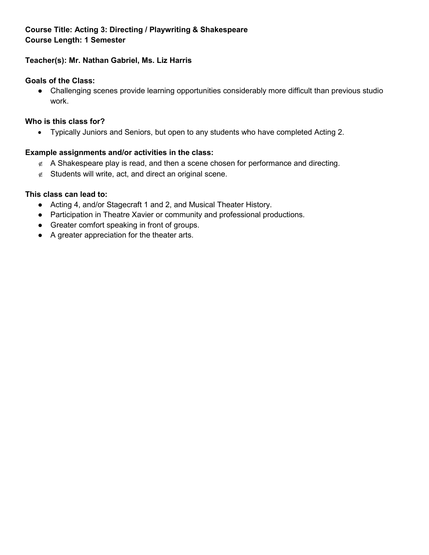# **Course Title: Acting 3: Directing / Playwriting & Shakespeare Course Length: 1 Semester**

## **Teacher(s): Mr. Nathan Gabriel, Ms. Liz Harris**

### **Goals of the Class:**

● Challenging scenes provide learning opportunities considerably more difficult than previous studio work.

## **Who is this class for?**

• Typically Juniors and Seniors, but open to any students who have completed Acting 2.

## **Example assignments and/or activities in the class:**

- $\epsilon$  A Shakespeare play is read, and then a scene chosen for performance and directing.
- $\epsilon$  Students will write, act, and direct an original scene.

- Acting 4, and/or Stagecraft 1 and 2, and Musical Theater History.
- Participation in Theatre Xavier or community and professional productions.
- Greater comfort speaking in front of groups.
- A greater appreciation for the theater arts.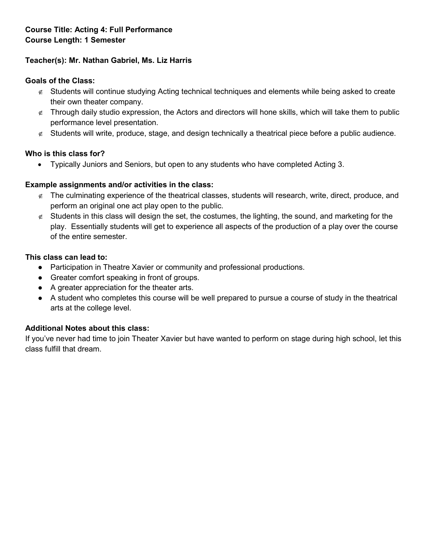## **Teacher(s): Mr. Nathan Gabriel, Ms. Liz Harris**

### **Goals of the Class:**

- ∉ Students will continue studying Acting technical techniques and elements while being asked to create their own theater company.
- ∉ Through daily studio expression, the Actors and directors will hone skills, which will take them to public performance level presentation.
- ∉ Students will write, produce, stage, and design technically a theatrical piece before a public audience.

## **Who is this class for?**

• Typically Juniors and Seniors, but open to any students who have completed Acting 3.

## **Example assignments and/or activities in the class:**

- ∉ The culminating experience of the theatrical classes, students will research, write, direct, produce, and perform an original one act play open to the public.
- $\epsilon$  Students in this class will design the set, the costumes, the lighting, the sound, and marketing for the play. Essentially students will get to experience all aspects of the production of a play over the course of the entire semester.

#### **This class can lead to:**

- Participation in Theatre Xavier or community and professional productions.
- Greater comfort speaking in front of groups.
- A greater appreciation for the theater arts.
- A student who completes this course will be well prepared to pursue a course of study in the theatrical arts at the college level.

## **Additional Notes about this class:**

If you've never had time to join Theater Xavier but have wanted to perform on stage during high school, let this class fulfill that dream.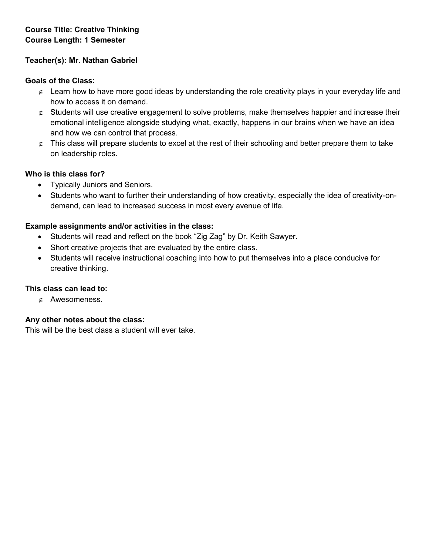# **Course Title: Creative Thinking Course Length: 1 Semester**

## **Teacher(s): Mr. Nathan Gabriel**

#### **Goals of the Class:**

- ∉ Learn how to have more good ideas by understanding the role creativity plays in your everyday life and how to access it on demand.
- ∉ Students will use creative engagement to solve problems, make themselves happier and increase their emotional intelligence alongside studying what, exactly, happens in our brains when we have an idea and how we can control that process.
- $\epsilon$  This class will prepare students to excel at the rest of their schooling and better prepare them to take on leadership roles.

#### **Who is this class for?**

- Typically Juniors and Seniors.
- Students who want to further their understanding of how creativity, especially the idea of creativity-ondemand, can lead to increased success in most every avenue of life.

#### **Example assignments and/or activities in the class:**

- Students will read and reflect on the book "Zig Zag" by Dr. Keith Sawyer.
- Short creative projects that are evaluated by the entire class.
- Students will receive instructional coaching into how to put themselves into a place conducive for creative thinking.

#### **This class can lead to:**

∉ Awesomeness.

#### **Any other notes about the class:**

This will be the best class a student will ever take.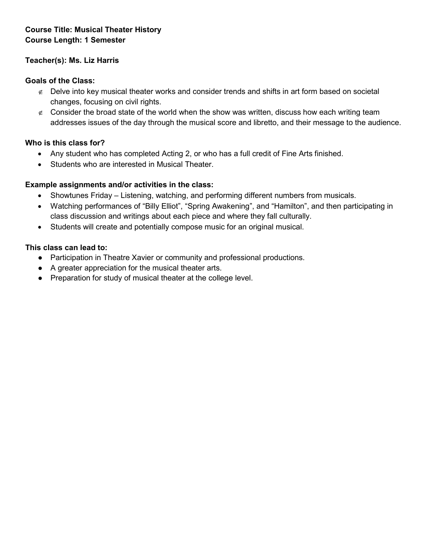# **Course Title: Musical Theater History Course Length: 1 Semester**

## **Teacher(s): Ms. Liz Harris**

#### **Goals of the Class:**

- ∉ Delve into key musical theater works and consider trends and shifts in art form based on societal changes, focusing on civil rights.
- $\epsilon$  Consider the broad state of the world when the show was written, discuss how each writing team addresses issues of the day through the musical score and libretto, and their message to the audience.

## **Who is this class for?**

- Any student who has completed Acting 2, or who has a full credit of Fine Arts finished.
- Students who are interested in Musical Theater.

## **Example assignments and/or activities in the class:**

- Showtunes Friday Listening, watching, and performing different numbers from musicals.
- Watching performances of "Billy Elliot", "Spring Awakening", and "Hamilton", and then participating in class discussion and writings about each piece and where they fall culturally.
- Students will create and potentially compose music for an original musical.

- Participation in Theatre Xavier or community and professional productions.
- A greater appreciation for the musical theater arts.
- Preparation for study of musical theater at the college level.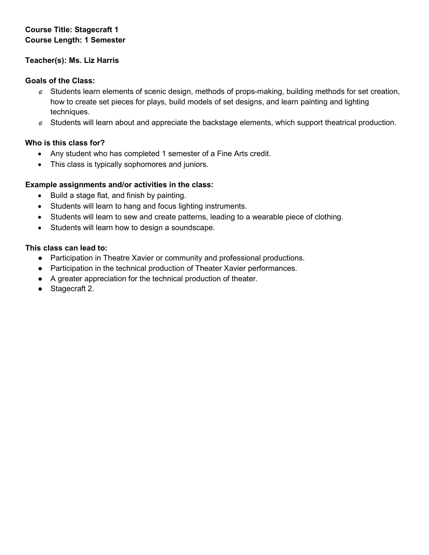# **Course Title: Stagecraft 1 Course Length: 1 Semester**

## **Teacher(s): Ms. Liz Harris**

## **Goals of the Class:**

- ∉ Students learn elements of scenic design, methods of props-making, building methods for set creation, how to create set pieces for plays, build models of set designs, and learn painting and lighting techniques.
- ∉ Students will learn about and appreciate the backstage elements, which support theatrical production.

## **Who is this class for?**

- Any student who has completed 1 semester of a Fine Arts credit.
- This class is typically sophomores and juniors.

## **Example assignments and/or activities in the class:**

- Build a stage flat, and finish by painting.
- Students will learn to hang and focus lighting instruments.
- Students will learn to sew and create patterns, leading to a wearable piece of clothing.
- Students will learn how to design a soundscape.

- Participation in Theatre Xavier or community and professional productions.
- Participation in the technical production of Theater Xavier performances.
- A greater appreciation for the technical production of theater.
- Stagecraft 2.